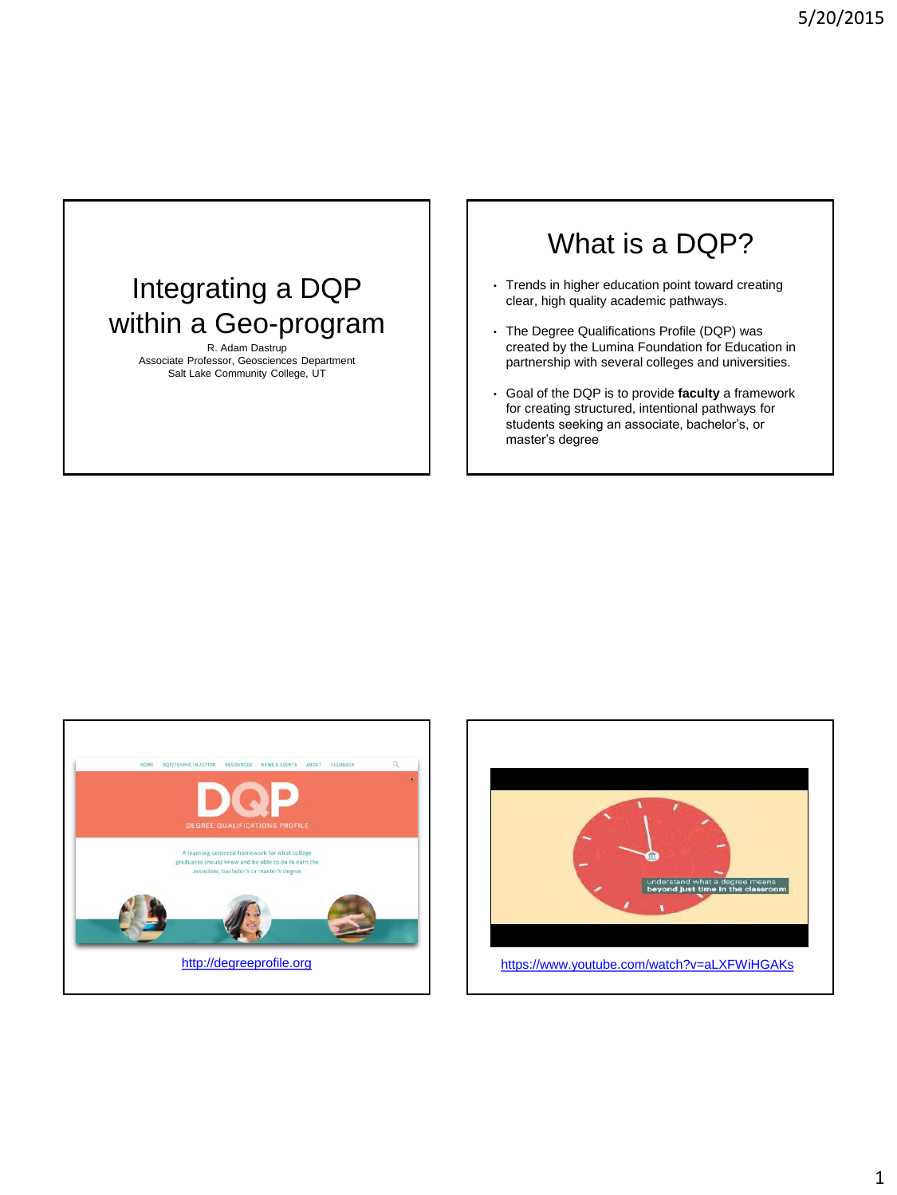# Integrating a DQP within a Geo-program

R. Adam Dastrup Associate Professor, Geosciences Department Salt Lake Community College, UT

# What is a DQP?

- Trends in higher education point toward creating clear, high quality academic pathways.
- The Degree Qualifications Profile (DQP) was created by the Lumina Foundation for Education in partnership with several colleges and universities.
- Goal of the DQP is to provide **faculty** a framework for creating structured, intentional pathways for students seeking an associate, bachelor's, or master's degree



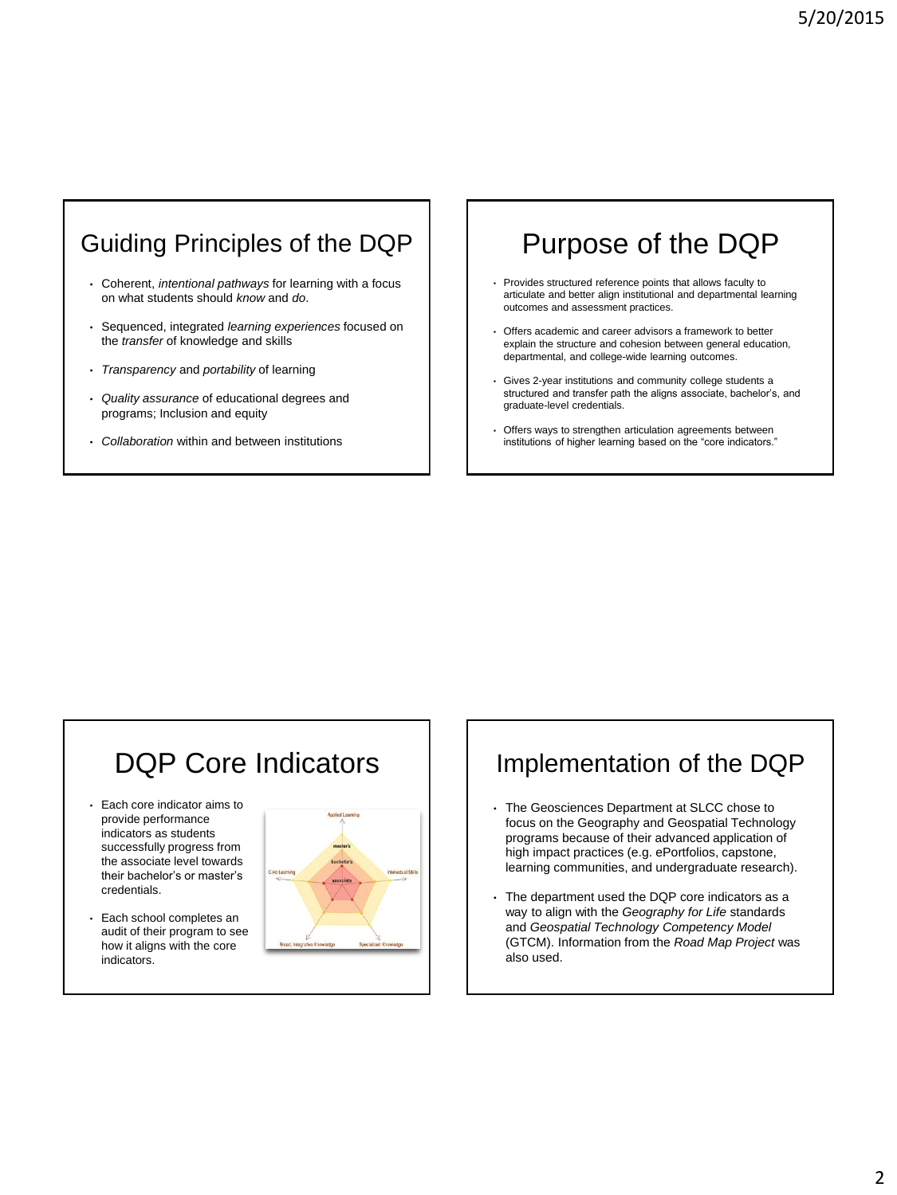### Guiding Principles of the DQP

- Coherent, *intentional pathways* for learning with a focus on what students should *know* and *do*.
- Sequenced, integrated *learning experiences* focused on the *transfer* of knowledge and skills
- *Transparency* and *portability* of learning
- *Quality assurance* of educational degrees and programs; Inclusion and equity
- *Collaboration* within and between institutions

# Purpose of the DQP

- Provides structured reference points that allows faculty to articulate and better align institutional and departmental learning outcomes and assessment practices.
- Offers academic and career advisors a framework to better explain the structure and cohesion between general education, departmental, and college-wide learning outcomes.
- Gives 2-year institutions and community college students a structured and transfer path the aligns associate, bachelor's, and graduate-level credentials.
- Offers ways to strengthen articulation agreements between institutions of higher learning based on the "core indicators."

# DQP Core Indicators

- Each core indicator aims to provide performance indicators as students successfully progress from the associate level towards their bachelor's or master's credentials.
- Each school completes an audit of their program to see how it aligns with the core indicators.



### Implementation of the DQP

- The Geosciences Department at SLCC chose to focus on the Geography and Geospatial Technology programs because of their advanced application of high impact practices (e.g. ePortfolios, capstone, learning communities, and undergraduate research).
- The department used the DQP core indicators as a way to align with the *Geography for Life* standards and *Geospatial Technology Competency Model* (GTCM). Information from the *Road Map Project* was also used.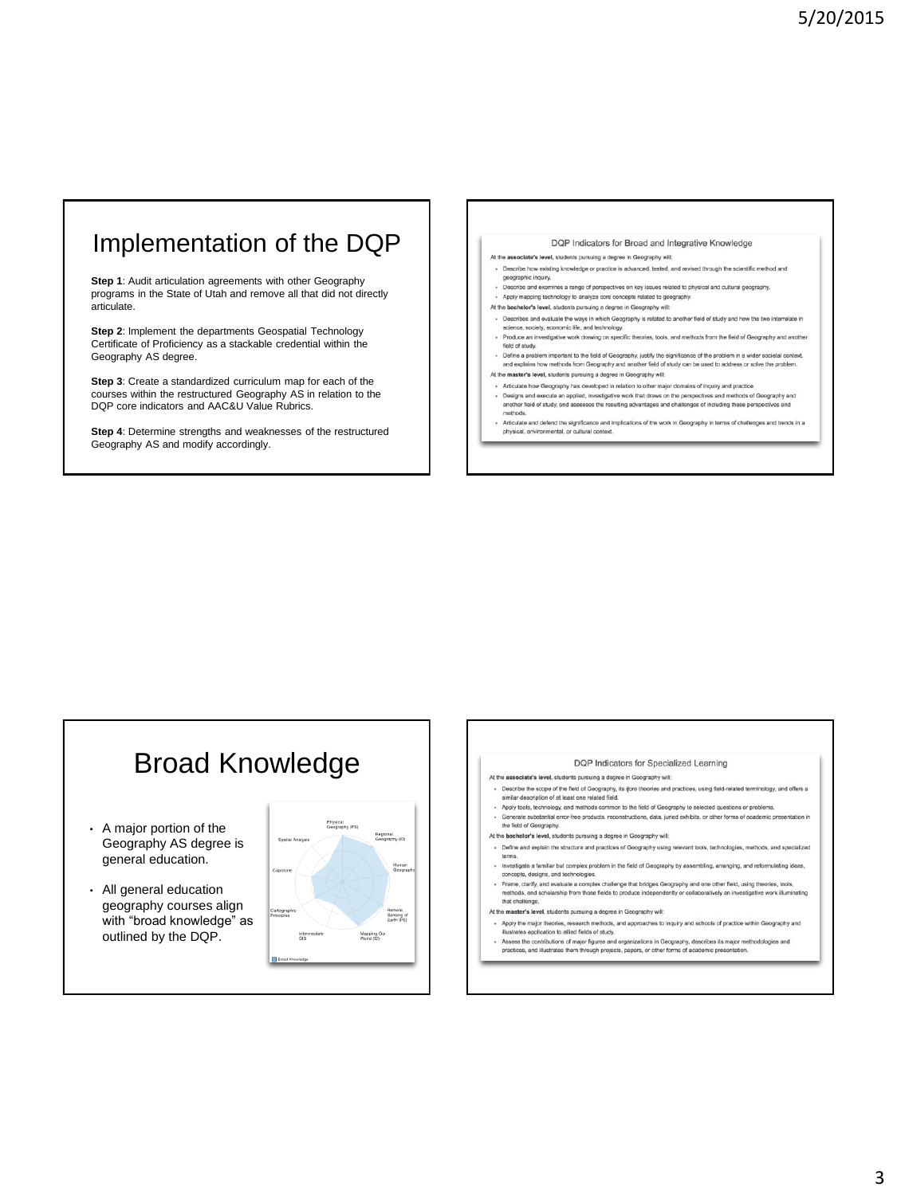### Implementation of the DQP

**Step 1**: Audit articulation agreements with other Geography programs in the State of Utah and remove all that did not directly articulate.

**Step 2**: Implement the departments Geospatial Technology Certificate of Proficiency as a stackable credential within the Geography AS degree.

**Step 3**: Create a standardized curriculum map for each of the courses within the restructured Geography AS in relation to the DQP core indicators and AAC&U Value Rubrics.

**Step 4**: Determine strengths and weaknesses of the restructured Geography AS and modify accordingly.

#### DQP Indicators for Broad and Integrative Knowledge

At the associate's level, students pursuing a degree in Geography will:

- · Describe how existing knowledge or practice is advanced, tested, and revised through the scientific method and geographic inquiry. greprito inquiry.<br>cribe and examines a range of perspectives on key issues related to physical and cultural geography
- · Apply mapping technology to analyze core concepts related to geography.
- At the bachelor's level, students pursuing a degree in Geography will:
- . Describes and evaluate the ways in which Geography is related to another field of study and how the two interre science, society, economic life, and technology.
- · Produce an investigative work drawing on specific theories, tools, and methods from the field of Geography and another
- Fridation at messages we want attempt at specific transfers, upos, and methods from the test of company feld of study.<br>• Define a problem important to the field of Geography, justify the significance of the problem in a wi At the master's level, students pursuing a degree in Geography will:
- 
- · Articulate how Geography has developed in relation to other major domains of inquiry and practice - Designs and execute an applied, investigative work that draws on the perspectives and methods of Geography and<br>another field of study, and assesses the resulting advantages and challenges of including these perspectives ethods
- Articulate and defend the significance and implications of the work in Geography in terms of challenges and trends in a<br>physical, environmental, or cultural context. .

# Broad Knowledge

- A major portion of the Geography AS degree is general education.
- All general education geography courses align with "broad knowledge" as outlined by the DQP.



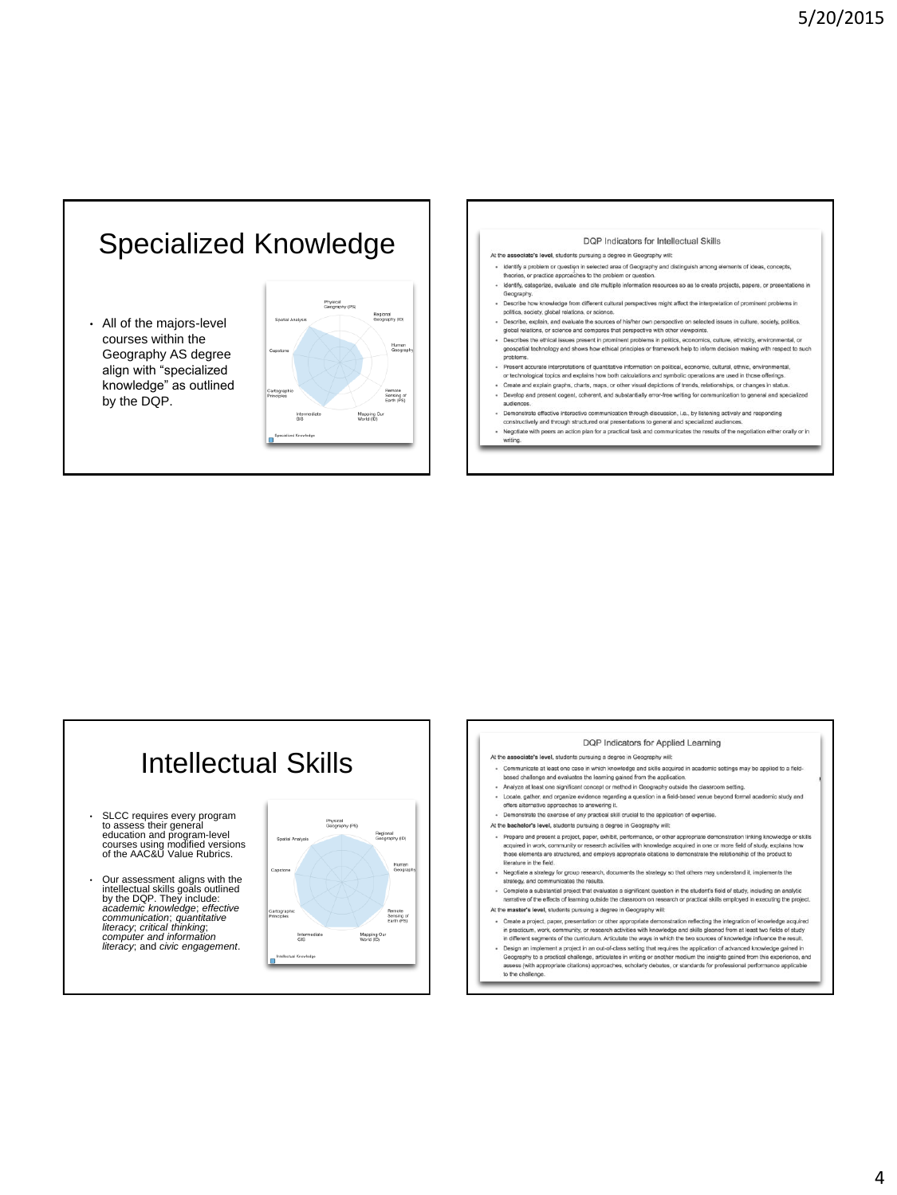

• All of the majors-level courses within the Geography AS degree align with "specialized knowledge" as outlined by the DQP.





# Intellectual Skills

- SLCC requires every program to assess their general education and program-level courses using modified versions of the AAC&U Value Rubrics.
- Our assessment aligns with the intellectual skills goals outlined by the DQP. They include: *academic knowledge*; *effective communication*; *quantitative literacy*; *critical thinking*; *computer and information literacy*; and *civic engagement*.



DQP Indicators for Applied Learning At the associate's level, students pursuing a degree in Geography will: · Communicate at least one case in which knowledge and skills acquired in academic settings may be applied to a field-<br>based challenge and evaluates the learning gained from the application. . Analyze at least one significant concept or method in Geography outside the classroom setting. - Locate, gather, and organize evidence regarding a question in a field-based venue beyond formal academic study and<br>- Locate, gather, and organize evidence regarding a question in a field-based venue beyond formal academi · Demonstrate the exercise of any practical skill crucial to the application of expertise. At the bachelor's level, students pursuing a degree in Geography will: Propare and present a project, paper, exhibit, performance, or other appropriate demonstration linking knowledge or skills<br>acquired in work, community or research activities with knowledge acquired in one or more field of literature in the field. Negotiate a strategy for group res earch, documents the strategy so that others may understand it, imple strategy, and communicates the results. - Complete a substantial project that evaluates a significant question in the student's field of study, including an analytic<br>narrative of the effects of learning outside the classroom on research or practical skills emplo At the master's level, students pursuing a degree in Geography will: · Create a project, paper, presentation or other appropriate demonstration reflecting the integration of know in practicum, work, community, or research activities with knowledge and skills gleaned from at least two fields of study<br>In different is egencies of the curriculum. Articulate the way in which the two sources of knowledge assess (with appropriate citations) approaches, scholarly debates, or standards for professional performance applicable to the challenge.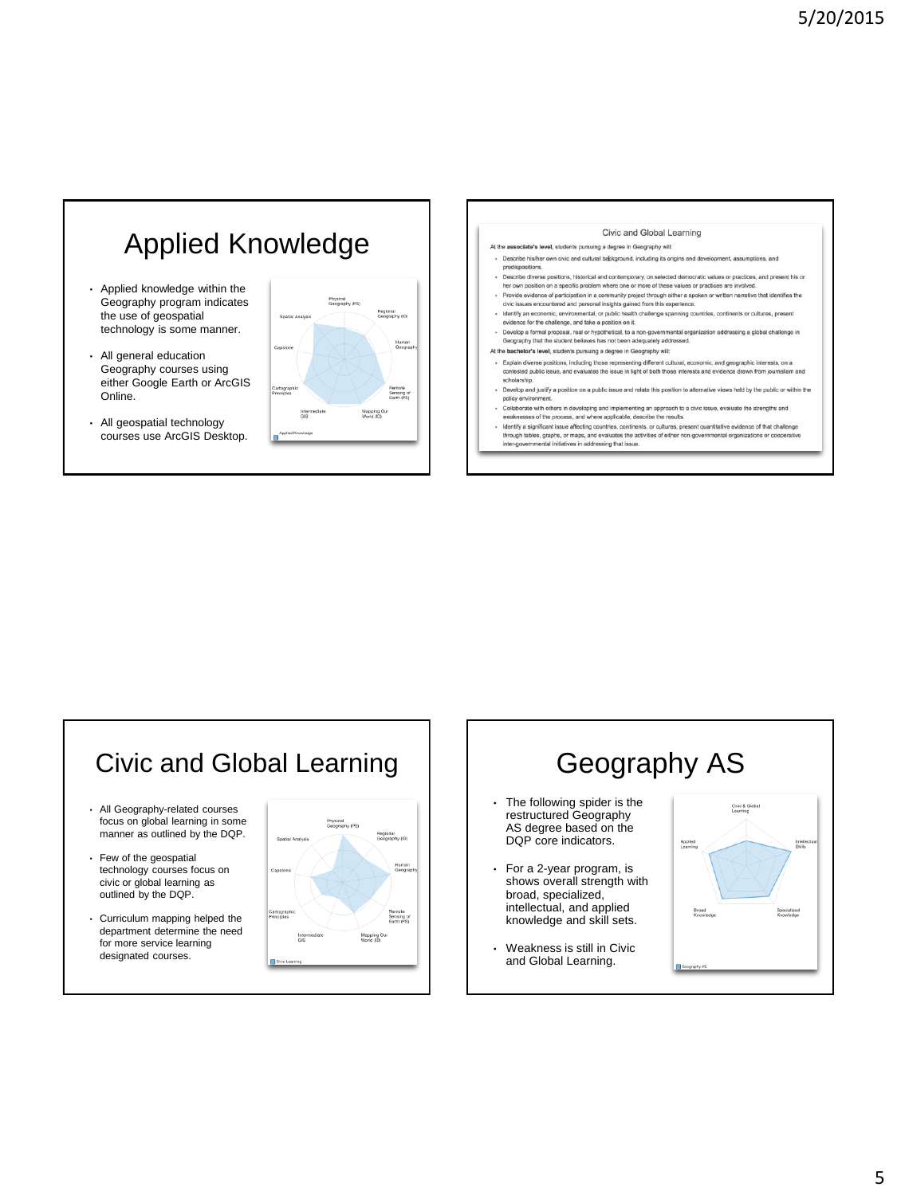# Applied Knowledge

- Applied knowledge within the Geography program indicates the use of geospatial technology is some manner.
- All general education Geography courses using either Google Earth or ArcGIS Online.
- All geospatial technology courses use ArcGIS Desktop.





- Develop a formal proposal, real or hypothetical, to a non-governmental or Geography that the student believes has not been adequately addressed. ntal organization addressing a global challenge in
- At the bachelor's level, students pursuing a degree in Geography will:
- Explain diverse positions, including those representing different cultural, economic, and geographic interests, on a<br>contested public issue, and evaluates the issue in light of both those interests and evidence drawn from scholarship
- . Develop and justify a position on a public issue and relate this position to alternative views held by the public or within the
- Policy privionment.<br>Followers with others in the problem of the problem of the problem of the problem of the problem of the proces<br>Followers with others in diverse profiles and the process, and where applicable, describe t
- weaknesses or une process, and where application, describe the results.<br>Identify a significant issue afforting countries, contrients, or cultures, present quantitative evidence of that challeng<br>through tables, graphs, or m

# Civic and Global Learning

- All Geography-related courses focus on global learning in some manner as outlined by the DQP.
- Few of the geospatial technology courses focus on civic or global learning as outlined by the DQP.
- Curriculum mapping helped the department determine the need for more service learning designated courses.



Geography AS • The following spider is the Civic & Globa<br>Learning restructured Geography AS degree based on the DQP core indicators. Applied<br>Learning • For a 2-year program, is shows overall strength with broad, specialized, intellectual, and applied knowledge and skill sets. • Weakness is still in Civic and Global Learning.